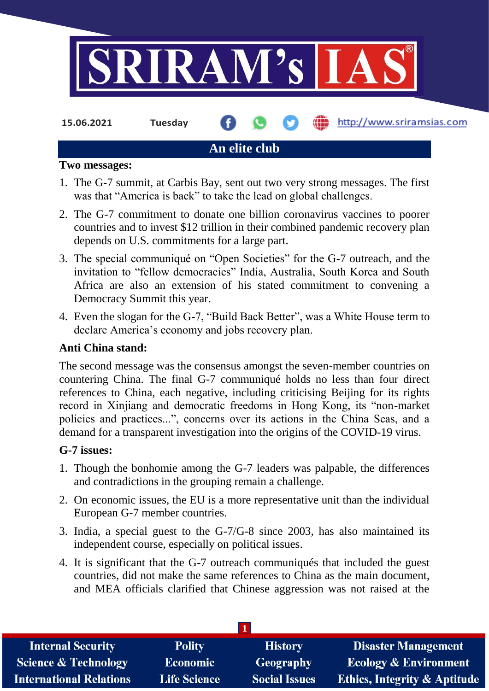

**15.06.2021 Tuesday**

# http://www.sriramsias.com

# **An elite club**

### **Two messages:**

- 1. The G-7 summit, at Carbis Bay, sent out two very strong messages. The first was that "America is back" to take the lead on global challenges.
- 2. The G-7 commitment to donate one billion coronavirus vaccines to poorer countries and to invest \$12 trillion in their combined pandemic recovery plan depends on U.S. commitments for a large part.
- 3. The special communiqué on "Open Societies" for the G-7 outreach, and the invitation to "fellow democracies" India, Australia, South Korea and South Africa are also an extension of his stated commitment to convening a Democracy Summit this year.
- 4. Even the slogan for the G-7, "Build Back Better", was a White House term to declare America's economy and jobs recovery plan.

# **Anti China stand:**

The second message was the consensus amongst the seven-member countries on countering China. The final G-7 communiqué holds no less than four direct references to China, each negative, including criticising Beijing for its rights record in Xinjiang and democratic freedoms in Hong Kong, its "non-market policies and practices...", concerns over its actions in the China Seas, and a demand for a transparent investigation into the origins of the COVID-19 virus.

# **G-7 issues:**

- 1. Though the bonhomie among the G-7 leaders was palpable, the differences and contradictions in the grouping remain a challenge.
- 2. On economic issues, the EU is a more representative unit than the individual European G-7 member countries.
- 3. India, a special guest to the G-7/G-8 since 2003, has also maintained its independent course, especially on political issues.
- 4. It is significant that the G-7 outreach communiqués that included the guest countries, did not make the same references to China as the main document, and MEA officials clarified that Chinese aggression was not raised at the

| <b>Internal Security</b>        | <b>Polity</b>       | <b>History</b>       | <b>Disaster Management</b>              |
|---------------------------------|---------------------|----------------------|-----------------------------------------|
| <b>Science &amp; Technology</b> | <b>Economic</b>     | Geography            | <b>Ecology &amp; Environment</b>        |
| <b>International Relations</b>  | <b>Life Science</b> | <b>Social Issues</b> | <b>Ethics, Integrity &amp; Aptitude</b> |